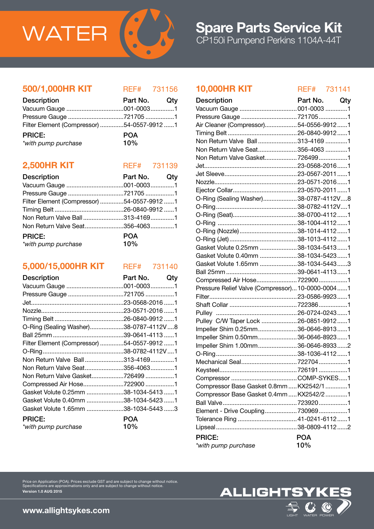

### 500/1,000HR KIT REF# 731156

| <b>Description</b>                         | Part No. Qty |  |
|--------------------------------------------|--------------|--|
|                                            |              |  |
|                                            |              |  |
| Filter Element (Compressor) 54-0557-9912 1 |              |  |
| <b>PRICE:</b>                              | <b>POA</b>   |  |
| *with pump purchase                        | 10%          |  |

### **2,500HR KIT** REF# 731139

| <b>Description</b>                         | Part No. Qty      |  |
|--------------------------------------------|-------------------|--|
|                                            |                   |  |
|                                            |                   |  |
| Filter Element (Compressor) 54-0557-9912 1 |                   |  |
|                                            |                   |  |
| Non Return Valve Ball313-41691             |                   |  |
| Non Return Valve Seat356-40631             |                   |  |
| <b>PRICE:</b><br>*with pump purchase       | <b>POA</b><br>10% |  |

# 5,000/15,000HR KIT REF# 731140

| <b>Description</b>                         | Part No. | Qty |
|--------------------------------------------|----------|-----|
|                                            |          |     |
| Pressure Gauge 721705 1                    |          |     |
|                                            |          |     |
|                                            |          |     |
|                                            |          |     |
| O-Ring (Sealing Washer)38-0787-4112V8      |          |     |
|                                            |          |     |
| Filter Element (Compressor) 54-0557-9912 1 |          |     |
|                                            |          |     |
| Non Return Valve Ball313-41691             |          |     |
| Non Return Valve Seat356-40631             |          |     |
| Non Return Valve Gasket7264991             |          |     |
|                                            |          |     |
| Gasket Volute 0.25mm 38-1034-5413 1        |          |     |
| Gasket Volute 0.40mm 38-1034-5423 1        |          |     |
| Gasket Volute 1.65mm 38-1034-5443 3        |          |     |
| <b>PRICE:</b>                              | POA      |     |
| *with pump purchase                        | 10%      |     |

### 10,000HR KIT REF# 731141

| <b>Description</b>                               | Part No. Qty |  |
|--------------------------------------------------|--------------|--|
| Vacuum Gauge  001-0003 1                         |              |  |
| Pressure Gauge 7217051                           |              |  |
| Air Cleaner (Compressor)54-0556-99121            |              |  |
|                                                  |              |  |
| Non Return Valve Ball 313-4169 1                 |              |  |
| Non Return Valve Seat356-4063 1                  |              |  |
| Non Return Valve Gasket 7264991                  |              |  |
|                                                  |              |  |
|                                                  |              |  |
|                                                  |              |  |
|                                                  |              |  |
| O-Ring (Sealing Washer)38-0787-4112V8            |              |  |
|                                                  |              |  |
|                                                  |              |  |
|                                                  |              |  |
| O-Ring (Nozzle) 38-1014-4112 1                   |              |  |
|                                                  |              |  |
| Gasket Volute 0.25mm 38-1034-54131               |              |  |
| Gasket Volute 0.40mm 38-1034-54231               |              |  |
| Gasket Volute 1.65mm 38-1034-54433               |              |  |
|                                                  |              |  |
|                                                  |              |  |
| Pressure Relief Valve (Compressor) 10-0000-00041 |              |  |
|                                                  |              |  |
|                                                  |              |  |
|                                                  |              |  |
| Pulley C/W Taper Lock  26-0851-9912  1           |              |  |
| Impeller Shim 0.25mm 36-0646-89131               |              |  |
| Impeller Shim 0.50mm 36-0646-89231               |              |  |
| Impeller Shim 1.00mm36-0646-89332                |              |  |
|                                                  |              |  |
|                                                  |              |  |
|                                                  |              |  |
|                                                  |              |  |
| Compressor Base Gasket 0.8mm  KX2542/1 1         |              |  |
| Compressor Base Gasket 0.4mm  KX2542/2 1         |              |  |
|                                                  |              |  |
| Element - Drive Coupling 7309691                 |              |  |
| Tolerance Ring  41-0241-6112  1                  |              |  |
|                                                  |              |  |
| <b>PRICE:</b>                                    | <b>POA</b>   |  |
| *with pump purchase                              | 10%          |  |
|                                                  |              |  |